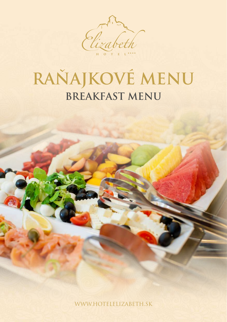

# RAŇAJKOVÉ MENU

WWW.HOTELELIZABETH.SK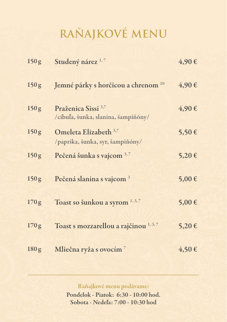## **RAŇAJKOVÉ MENU**

| 150 <sub>g</sub> | Studený nárez <sup>1,7</sup>                                          | 4,90€      |
|------------------|-----------------------------------------------------------------------|------------|
| 150 <sub>g</sub> | Jemné párky s horčicou a chrenom <sup>10</sup>                        | 4,90€      |
| 150 <sub>g</sub> | Praženica Sissi <sup>3,7</sup><br>/cibuľa, šunka, slanina, šampiňóny/ | 4,90€      |
| 150 <sub>g</sub> | Omeleta Elizabeth 3,7<br>/paprika, šunka, syr, šampiňóny/             | 5,50€      |
| 150 <sub>g</sub> | Pečená šunka s vajcom 3,7                                             | 5,20€      |
| 150g             | Pečená slanina s vajcom <sup>3</sup>                                  | $5,00 \in$ |
| 170g             | Toast so šunkou a syrom 1, 3, 7                                       | $5,00 \in$ |
| 170g             | Toast s mozzarellou a rajčinou 1, 3, 7                                | 5,20€      |
| 180 <sub>g</sub> | Mliečna ryža s ovocím <sup>7</sup>                                    | $4,50 \in$ |

Raňajkové menu podávame:

Pondelok - Piatok: 6:30 - 10:00 hod. Sobota - Nedeľa: 7:00 - 10:30 hod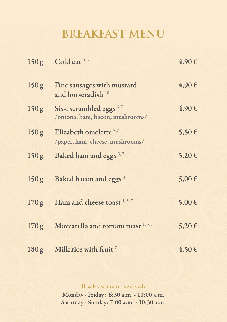### **BREAKFAST MENU**

|                  | $150g$ Cold cut <sup>1,7</sup>                                         | 4,90€      |
|------------------|------------------------------------------------------------------------|------------|
| 150 <sub>g</sub> | Fine sausages with mustard<br>and horseradish <sup>10</sup>            | 4,90€      |
| 150g             | Sissi scrambled eggs <sup>3,7</sup><br>/oniona, ham, bacon, mushrooms/ | 4,90€      |
| 150 <sub>g</sub> | Elizabeth omelette 3,7<br>/paper, ham, cheese, mushrooms/              | 5,50€      |
| 150g             | Baked ham and eggs <sup>3,7</sup>                                      | 5,20€      |
|                  | 150g Baked bacon and eggs <sup>3</sup>                                 | 5,00€      |
| 170g             | Ham and cheese toast 1, 3, 7                                           | 5,00€      |
| 170g             | Mozzarella and tomato toast 1, 3, 7                                    | 5,20€      |
| 180g             | <b>Milk rice with fruit</b> $^7$                                       | $4,50 \in$ |

Breakfast menu is served:

Monday - Friday: 6:30 a.m. - 10:00 a.m. Saturday - Sunday: 7:00 a.m. - 10:30 a.m.